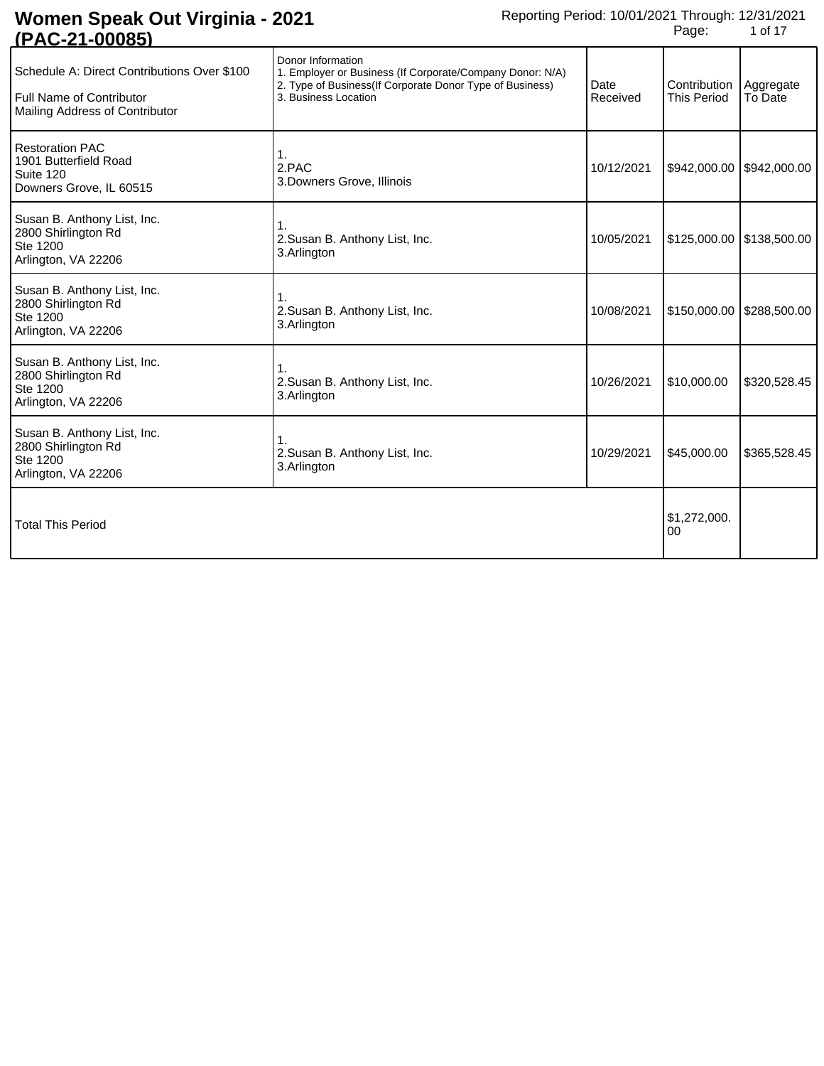| Donor Information<br>1. Employer or Business (If Corporate/Company Donor: N/A)<br>2. Type of Business(If Corporate Donor Type of Business)<br>3. Business Location | Date<br>Received | Contribution<br><b>This Period</b> | Aggregate<br>To Date                                        |
|--------------------------------------------------------------------------------------------------------------------------------------------------------------------|------------------|------------------------------------|-------------------------------------------------------------|
| 1.<br>2.PAC<br>3. Downers Grove, Illinois                                                                                                                          | 10/12/2021       | \$942,000.00                       | \$942,000.00                                                |
| 1.<br>2. Susan B. Anthony List, Inc.<br>3.Arlington                                                                                                                | 10/05/2021       |                                    |                                                             |
| 1.<br>2. Susan B. Anthony List, Inc.<br>3.Arlington                                                                                                                | 10/08/2021       |                                    |                                                             |
| 2. Susan B. Anthony List, Inc.<br>3.Arlington                                                                                                                      | 10/26/2021       | \$10,000.00                        | \$320,528.45                                                |
| 2. Susan B. Anthony List, Inc.<br>3.Arlington                                                                                                                      | 10/29/2021       | \$45,000.00                        | \$365,528.45                                                |
|                                                                                                                                                                    |                  | \$1,272,000.<br>00                 |                                                             |
|                                                                                                                                                                    |                  |                                    | $$125,000.00$   \$138,500.00<br>$$150,000.00$ $$288,500.00$ |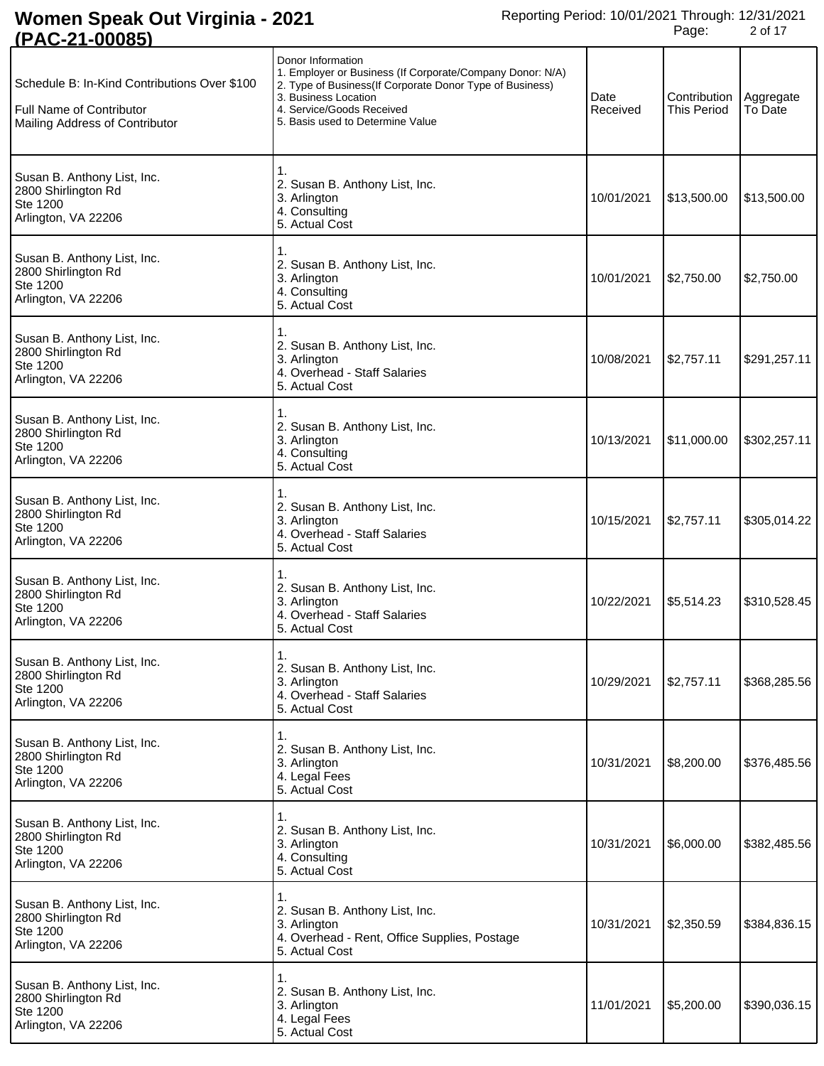| (I AV-4 I                                                                                                         |                                                                                                                                                                                                                                     |                  |                                    |                      |
|-------------------------------------------------------------------------------------------------------------------|-------------------------------------------------------------------------------------------------------------------------------------------------------------------------------------------------------------------------------------|------------------|------------------------------------|----------------------|
| Schedule B: In-Kind Contributions Over \$100<br><b>Full Name of Contributor</b><br>Mailing Address of Contributor | Donor Information<br>1. Employer or Business (If Corporate/Company Donor: N/A)<br>2. Type of Business(If Corporate Donor Type of Business)<br>3. Business Location<br>4. Service/Goods Received<br>5. Basis used to Determine Value | Date<br>Received | Contribution<br><b>This Period</b> | Aggregate<br>To Date |
| Susan B. Anthony List, Inc.<br>2800 Shirlington Rd<br>Ste 1200<br>Arlington, VA 22206                             | 2. Susan B. Anthony List, Inc.<br>3. Arlington<br>4. Consulting<br>5. Actual Cost                                                                                                                                                   | 10/01/2021       | \$13,500.00                        | \$13,500.00          |
| Susan B. Anthony List, Inc.<br>2800 Shirlington Rd<br>Ste 1200<br>Arlington, VA 22206                             | 2. Susan B. Anthony List, Inc.<br>3. Arlington<br>4. Consulting<br>5. Actual Cost                                                                                                                                                   | 10/01/2021       | \$2,750.00                         | \$2,750.00           |
| Susan B. Anthony List, Inc.<br>2800 Shirlington Rd<br>Ste 1200<br>Arlington, VA 22206                             | 2. Susan B. Anthony List, Inc.<br>3. Arlington<br>4. Overhead - Staff Salaries<br>5. Actual Cost                                                                                                                                    | 10/08/2021       | \$2,757.11                         | \$291,257.11         |
| Susan B. Anthony List, Inc.<br>2800 Shirlington Rd<br>Ste 1200<br>Arlington, VA 22206                             | 2. Susan B. Anthony List, Inc.<br>3. Arlington<br>4. Consulting<br>5. Actual Cost                                                                                                                                                   | 10/13/2021       | \$11,000.00                        | \$302,257.11         |
| Susan B. Anthony List, Inc.<br>2800 Shirlington Rd<br>Ste 1200<br>Arlington, VA 22206                             | 2. Susan B. Anthony List, Inc.<br>3. Arlington<br>4. Overhead - Staff Salaries<br>5. Actual Cost                                                                                                                                    | 10/15/2021       | \$2,757.11                         | \$305,014.22         |
| Susan B. Anthony List, Inc.<br>2800 Shirlington Rd<br>Ste 1200<br>Arlington, VA 22206                             | 2. Susan B. Anthony List, Inc.<br>3. Arlington<br>4. Overhead - Staff Salaries<br>5. Actual Cost                                                                                                                                    | 10/22/2021       | \$5,514.23                         | \$310,528.45         |
| Susan B. Anthony List, Inc.<br>2800 Shirlington Rd<br>Ste 1200<br>Arlington, VA 22206                             | 1.<br>2. Susan B. Anthony List, Inc.<br>3. Arlington<br>4. Overhead - Staff Salaries<br>5. Actual Cost                                                                                                                              | 10/29/2021       | \$2,757.11                         | \$368,285.56         |
| Susan B. Anthony List, Inc.<br>2800 Shirlington Rd<br>Ste 1200<br>Arlington, VA 22206                             | 1.<br>2. Susan B. Anthony List, Inc.<br>3. Arlington<br>4. Legal Fees<br>5. Actual Cost                                                                                                                                             | 10/31/2021       | \$8,200.00                         | \$376,485.56         |
| Susan B. Anthony List, Inc.<br>2800 Shirlington Rd<br>Ste 1200<br>Arlington, VA 22206                             | 1.<br>2. Susan B. Anthony List, Inc.<br>3. Arlington<br>4. Consulting<br>5. Actual Cost                                                                                                                                             | 10/31/2021       | \$6,000.00                         | \$382,485.56         |
| Susan B. Anthony List, Inc.<br>2800 Shirlington Rd<br>Ste 1200<br>Arlington, VA 22206                             | 1.<br>2. Susan B. Anthony List, Inc.<br>3. Arlington<br>4. Overhead - Rent, Office Supplies, Postage<br>5. Actual Cost                                                                                                              | 10/31/2021       | \$2,350.59                         | \$384,836.15         |
| Susan B. Anthony List, Inc.<br>2800 Shirlington Rd<br>Ste 1200<br>Arlington, VA 22206                             | 1.<br>2. Susan B. Anthony List, Inc.<br>3. Arlington<br>4. Legal Fees<br>5. Actual Cost                                                                                                                                             | 11/01/2021       | \$5,200.00                         | \$390,036.15         |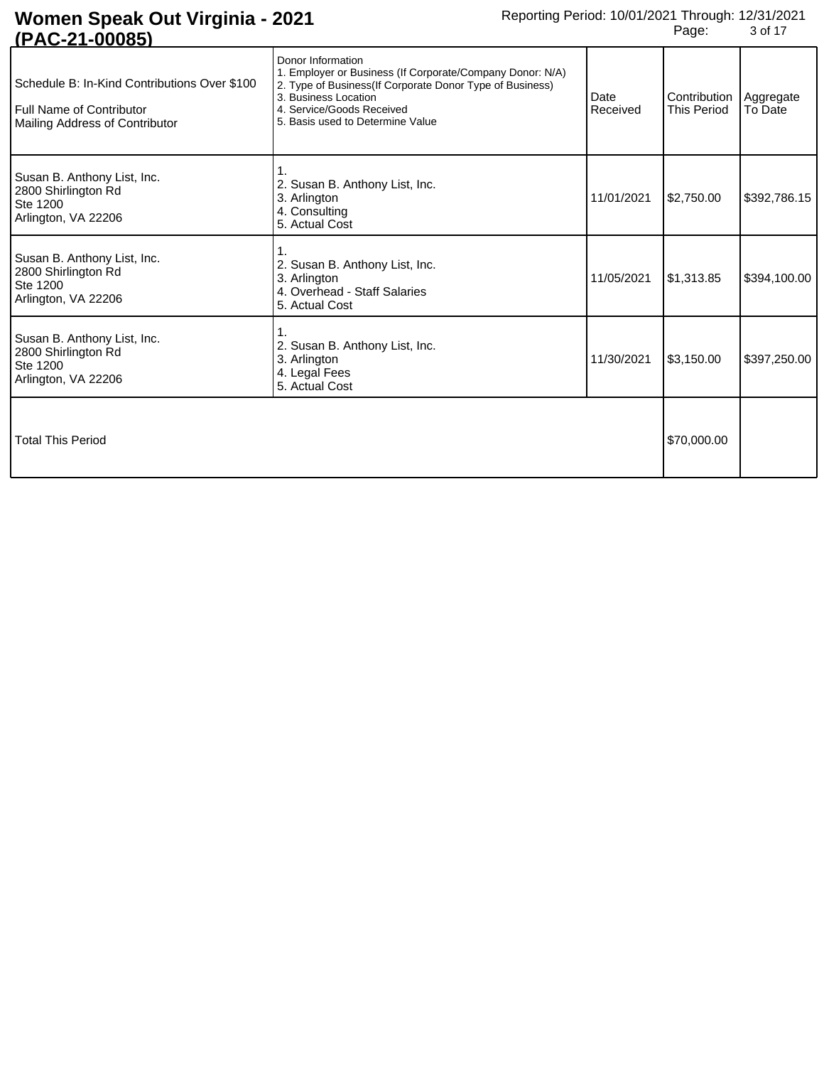| <u>U AVILITUUUUJI</u>                                                                                             |                                                                                                                                                                                                                                     |                  |                                    |                      |
|-------------------------------------------------------------------------------------------------------------------|-------------------------------------------------------------------------------------------------------------------------------------------------------------------------------------------------------------------------------------|------------------|------------------------------------|----------------------|
| Schedule B: In-Kind Contributions Over \$100<br><b>Full Name of Contributor</b><br>Mailing Address of Contributor | Donor Information<br>1. Employer or Business (If Corporate/Company Donor: N/A)<br>2. Type of Business(If Corporate Donor Type of Business)<br>3. Business Location<br>4. Service/Goods Received<br>5. Basis used to Determine Value | Date<br>Received | Contribution<br><b>This Period</b> | Aggregate<br>To Date |
| Susan B. Anthony List, Inc.<br>2800 Shirlington Rd<br>Ste 1200<br>Arlington, VA 22206                             | 2. Susan B. Anthony List, Inc.<br>3. Arlington<br>4. Consulting<br>5. Actual Cost                                                                                                                                                   | 11/01/2021       | \$2,750.00                         | \$392,786.15         |
| Susan B. Anthony List, Inc.<br>2800 Shirlington Rd<br>Ste 1200<br>Arlington, VA 22206                             | 2. Susan B. Anthony List, Inc.<br>3. Arlington<br>4. Overhead - Staff Salaries<br>5. Actual Cost                                                                                                                                    | 11/05/2021       | \$1,313.85                         | \$394,100.00         |
| Susan B. Anthony List, Inc.<br>2800 Shirlington Rd<br>Ste 1200<br>Arlington, VA 22206                             | 2. Susan B. Anthony List, Inc.<br>3. Arlington<br>4. Legal Fees<br>5. Actual Cost                                                                                                                                                   | 11/30/2021       | \$3,150.00                         | \$397,250.00         |
| <b>Total This Period</b>                                                                                          |                                                                                                                                                                                                                                     |                  | \$70,000.00                        |                      |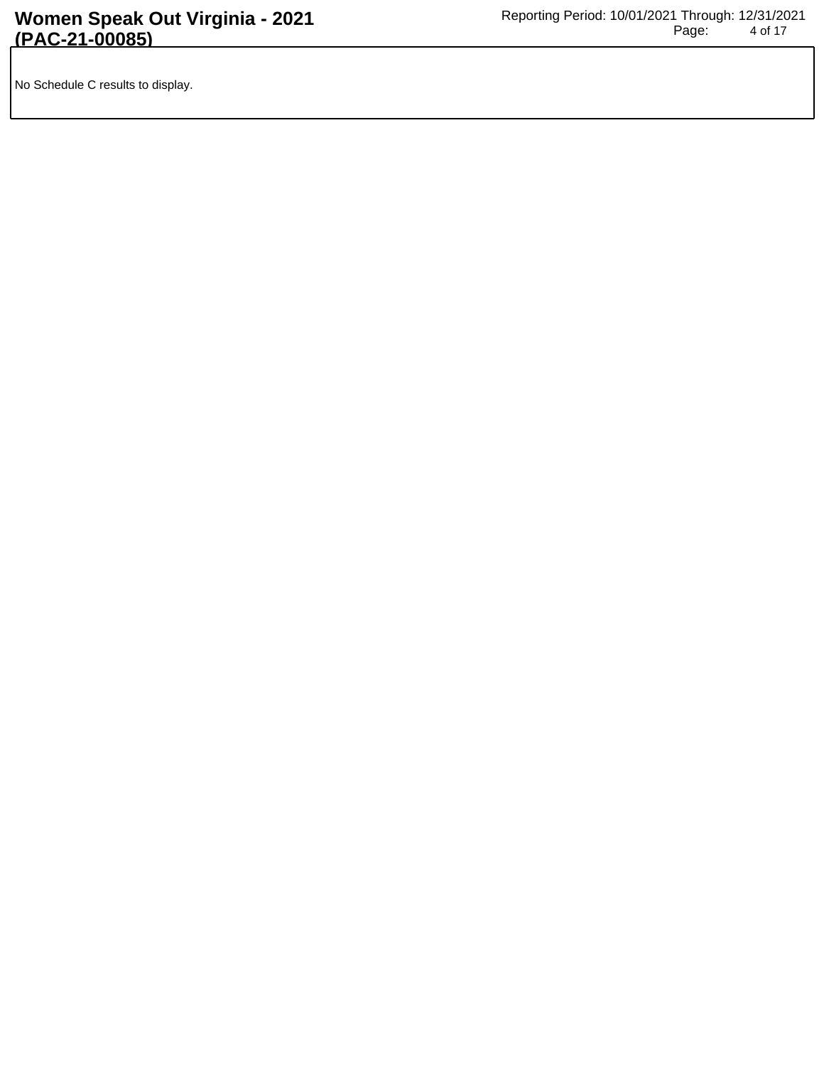No Schedule C results to display.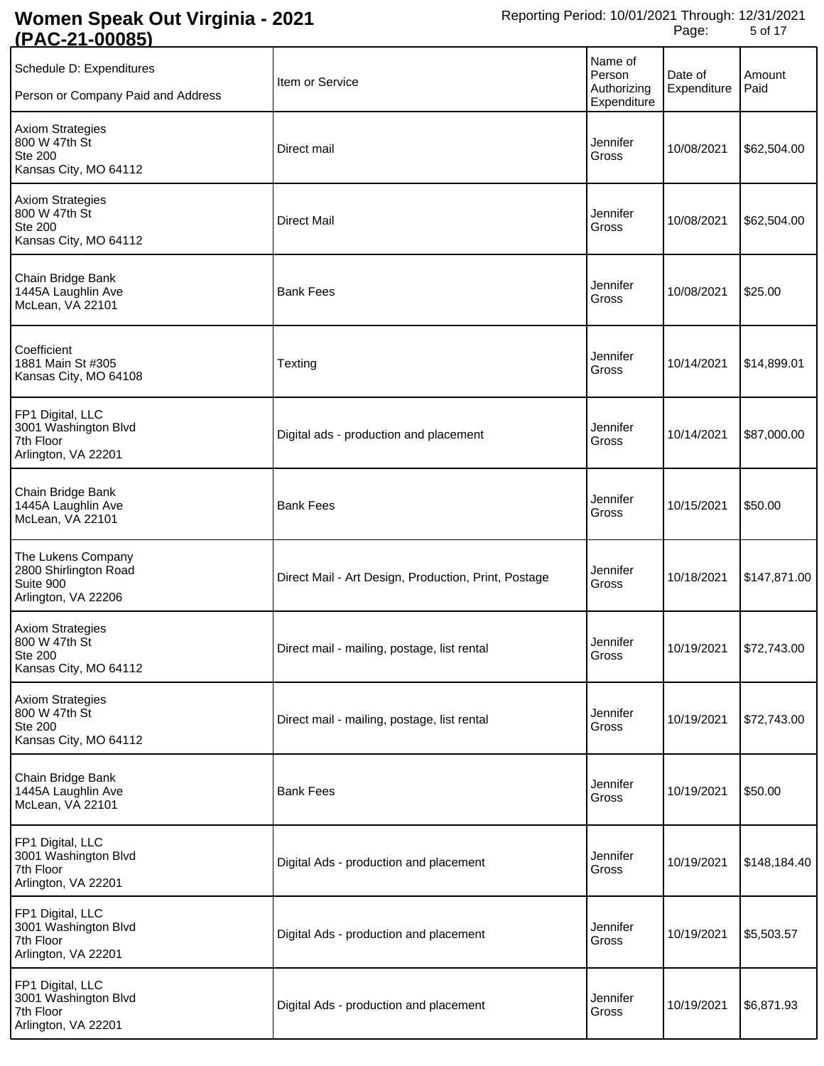| . <i>.</i><br>ぃvvv                                                                  |                                                      |                                                 |                        |                |
|-------------------------------------------------------------------------------------|------------------------------------------------------|-------------------------------------------------|------------------------|----------------|
| Schedule D: Expenditures<br>Person or Company Paid and Address                      | Item or Service                                      | Name of<br>Person<br>Authorizing<br>Expenditure | Date of<br>Expenditure | Amount<br>Paid |
| <b>Axiom Strategies</b><br>800 W 47th St<br><b>Ste 200</b><br>Kansas City, MO 64112 | Direct mail                                          | Jennifer<br>Gross                               | 10/08/2021             | \$62,504.00    |
| <b>Axiom Strategies</b><br>800 W 47th St<br><b>Ste 200</b><br>Kansas City, MO 64112 | <b>Direct Mail</b>                                   | Jennifer<br>Gross                               | 10/08/2021             | \$62,504.00    |
| Chain Bridge Bank<br>1445A Laughlin Ave<br>McLean, VA 22101                         | <b>Bank Fees</b>                                     | Jennifer<br>Gross                               | 10/08/2021             | \$25.00        |
| Coefficient<br>1881 Main St #305<br>Kansas City, MO 64108                           | Texting                                              | Jennifer<br>Gross                               | 10/14/2021             | \$14,899.01    |
| FP1 Digital, LLC<br>3001 Washington Blvd<br>7th Floor<br>Arlington, VA 22201        | Digital ads - production and placement               | Jennifer<br>Gross                               | 10/14/2021             | \$87,000.00    |
| Chain Bridge Bank<br>1445A Laughlin Ave<br>McLean, VA 22101                         | <b>Bank Fees</b>                                     | Jennifer<br>Gross                               | 10/15/2021             | \$50.00        |
| The Lukens Company<br>2800 Shirlington Road<br>Suite 900<br>Arlington, VA 22206     | Direct Mail - Art Design, Production, Print, Postage | Jennifer<br>Gross                               | 10/18/2021             | \$147,871.00   |
| <b>Axiom Strategies</b><br>800 W 47th St<br><b>Ste 200</b><br>Kansas City, MO 64112 | Direct mail - mailing, postage, list rental          | Jennifer<br>Gross                               |                        |                |
| <b>Axiom Strategies</b><br>800 W 47th St<br><b>Ste 200</b><br>Kansas City, MO 64112 | Direct mail - mailing, postage, list rental          | Jennifer<br>Gross                               | 10/19/2021             | \$72,743.00    |
| Chain Bridge Bank<br>1445A Laughlin Ave<br>McLean, VA 22101                         | <b>Bank Fees</b>                                     | Jennifer<br>Gross                               | 10/19/2021             | \$50.00        |
| FP1 Digital, LLC<br>3001 Washington Blvd<br>7th Floor<br>Arlington, VA 22201        | Digital Ads - production and placement               | Jennifer<br>Gross                               | 10/19/2021             | \$148,184.40   |
| FP1 Digital, LLC<br>3001 Washington Blvd<br>7th Floor<br>Arlington, VA 22201        | Digital Ads - production and placement               | Jennifer<br>Gross                               | 10/19/2021             | \$5,503.57     |
| FP1 Digital, LLC<br>3001 Washington Blvd<br>7th Floor<br>Arlington, VA 22201        | Digital Ads - production and placement               | Jennifer<br>Gross                               | 10/19/2021             | \$6,871.93     |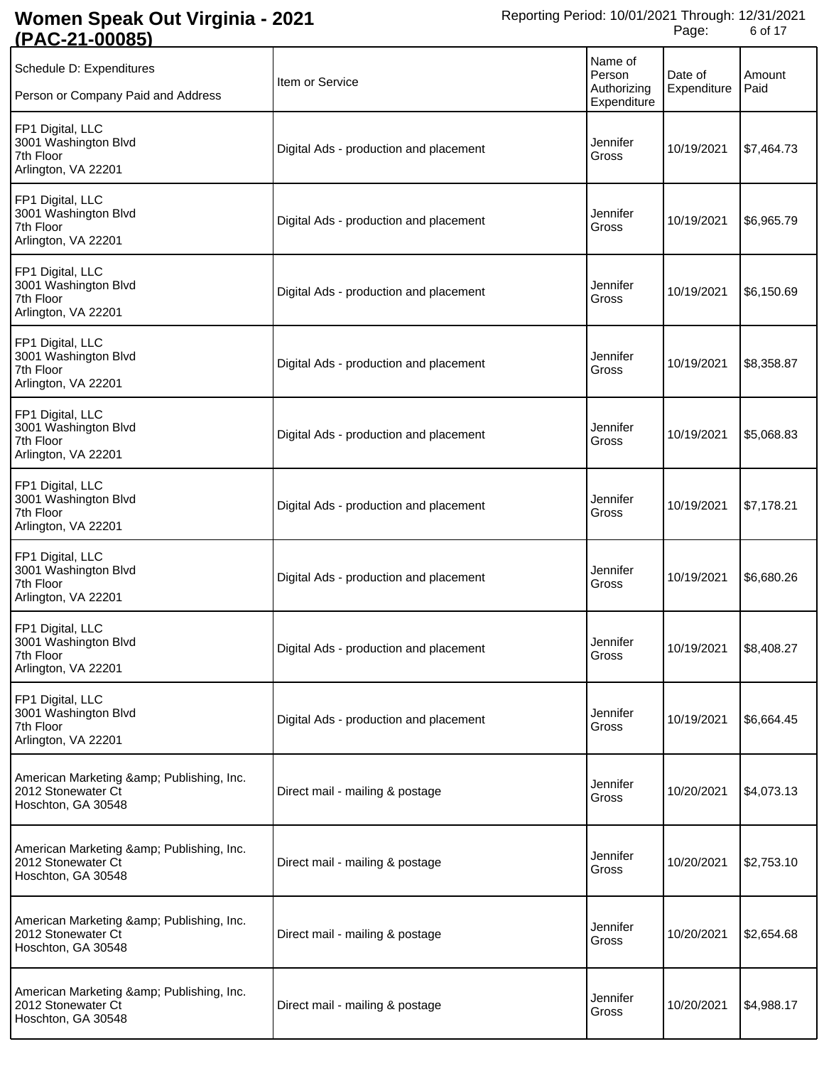| <u>SE AU-4 PUUUUJ</u>                                                             |                                        |                                                 |                        |                |
|-----------------------------------------------------------------------------------|----------------------------------------|-------------------------------------------------|------------------------|----------------|
| Schedule D: Expenditures<br>Person or Company Paid and Address                    | Item or Service                        | Name of<br>Person<br>Authorizing<br>Expenditure | Date of<br>Expenditure | Amount<br>Paid |
| FP1 Digital, LLC<br>3001 Washington Blvd<br>7th Floor<br>Arlington, VA 22201      | Digital Ads - production and placement | Jennifer<br>Gross                               | 10/19/2021             | \$7,464.73     |
| FP1 Digital, LLC<br>3001 Washington Blvd<br>7th Floor<br>Arlington, VA 22201      | Digital Ads - production and placement | Jennifer<br>Gross                               | 10/19/2021             | \$6,965.79     |
| FP1 Digital, LLC<br>3001 Washington Blvd<br>7th Floor<br>Arlington, VA 22201      | Digital Ads - production and placement | Jennifer<br>Gross                               | 10/19/2021             | \$6,150.69     |
| FP1 Digital, LLC<br>3001 Washington Blvd<br>7th Floor<br>Arlington, VA 22201      | Digital Ads - production and placement | Jennifer<br>Gross                               | 10/19/2021             | \$8,358.87     |
| FP1 Digital, LLC<br>3001 Washington Blvd<br>7th Floor<br>Arlington, VA 22201      | Digital Ads - production and placement | Jennifer<br>Gross                               | 10/19/2021             | \$5,068.83     |
| FP1 Digital, LLC<br>3001 Washington Blvd<br>7th Floor<br>Arlington, VA 22201      | Digital Ads - production and placement | Jennifer<br>Gross                               | 10/19/2021             | \$7,178.21     |
| FP1 Digital, LLC<br>3001 Washington Blvd<br>7th Floor<br>Arlington, VA 22201      | Digital Ads - production and placement | Jennifer<br>Gross                               | 10/19/2021             | \$6,680.26     |
| FP1 Digital, LLC<br>3001 Washington Blvd<br>7th Floor<br>Arlington, VA 22201      | Digital Ads - production and placement | Jennifer<br>Gross                               | 10/19/2021             | \$8,408.27     |
| FP1 Digital, LLC<br>3001 Washington Blvd<br>7th Floor<br>Arlington, VA 22201      | Digital Ads - production and placement | Jennifer<br>Gross                               | 10/19/2021             | \$6,664.45     |
| American Marketing & Publishing, Inc.<br>2012 Stonewater Ct<br>Hoschton, GA 30548 | Direct mail - mailing & postage        | Jennifer<br>Gross                               | 10/20/2021             | \$4,073.13     |
| American Marketing & Publishing, Inc.<br>2012 Stonewater Ct<br>Hoschton, GA 30548 | Direct mail - mailing & postage        | Jennifer<br>Gross                               | 10/20/2021             | \$2,753.10     |
| American Marketing & Publishing, Inc.<br>2012 Stonewater Ct<br>Hoschton, GA 30548 | Direct mail - mailing & postage        | Jennifer<br>Gross                               | 10/20/2021             | \$2,654.68     |
| American Marketing & Publishing, Inc.<br>2012 Stonewater Ct<br>Hoschton, GA 30548 | Direct mail - mailing & postage        | Jennifer<br>Gross                               | 10/20/2021             | \$4,988.17     |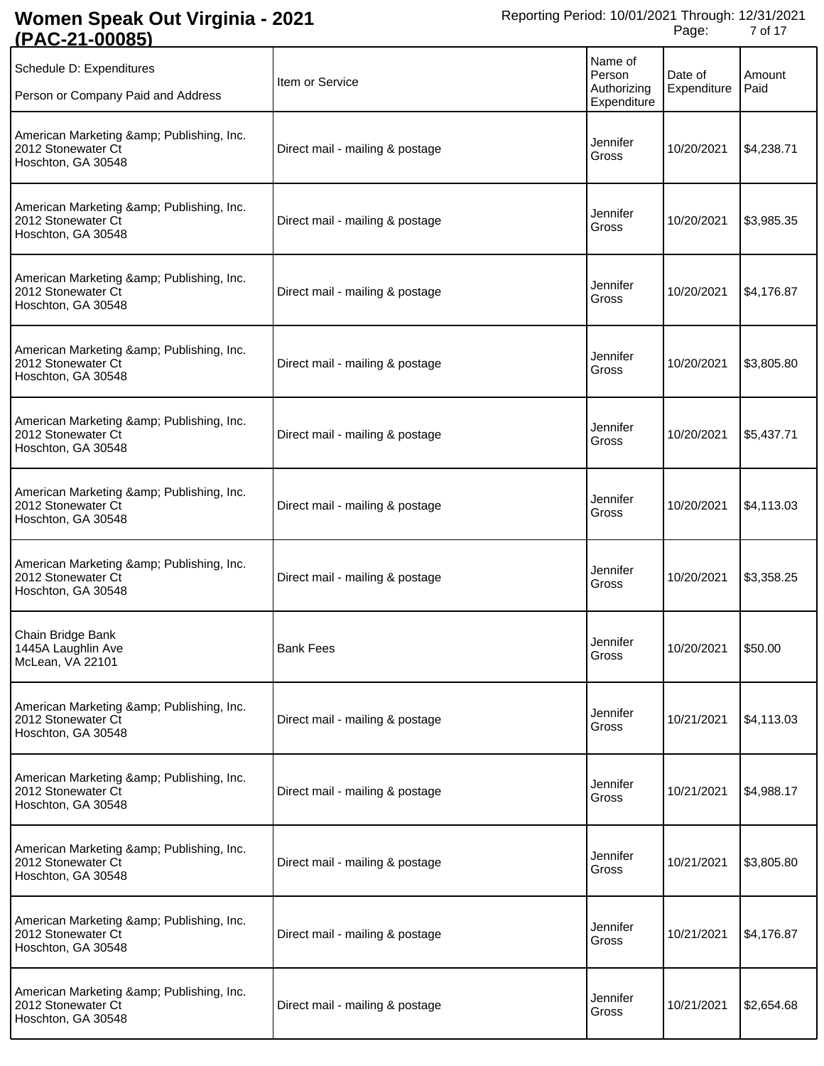| <u>(FAU-ZI-UUUOJ)</u>                                                             |                                 |                                                 |                        |                |
|-----------------------------------------------------------------------------------|---------------------------------|-------------------------------------------------|------------------------|----------------|
| Schedule D: Expenditures<br>Person or Company Paid and Address                    | Item or Service                 | Name of<br>Person<br>Authorizing<br>Expenditure | Date of<br>Expenditure | Amount<br>Paid |
| American Marketing & Publishing, Inc.<br>2012 Stonewater Ct<br>Hoschton, GA 30548 | Direct mail - mailing & postage | Jennifer<br>Gross                               | 10/20/2021             | \$4,238.71     |
| American Marketing & Publishing, Inc.<br>2012 Stonewater Ct<br>Hoschton, GA 30548 | Direct mail - mailing & postage | Jennifer<br>Gross                               | 10/20/2021             | \$3,985.35     |
| American Marketing & Publishing, Inc.<br>2012 Stonewater Ct<br>Hoschton, GA 30548 | Direct mail - mailing & postage | Jennifer<br>Gross                               | 10/20/2021             | \$4,176.87     |
| American Marketing & Publishing, Inc.<br>2012 Stonewater Ct<br>Hoschton, GA 30548 | Direct mail - mailing & postage | Jennifer<br>Gross                               | 10/20/2021             | \$3,805.80     |
| American Marketing & Publishing, Inc.<br>2012 Stonewater Ct<br>Hoschton, GA 30548 | Direct mail - mailing & postage | Jennifer<br>Gross                               | 10/20/2021             | \$5,437.71     |
| American Marketing & Publishing, Inc.<br>2012 Stonewater Ct<br>Hoschton, GA 30548 | Direct mail - mailing & postage | Jennifer<br>Gross                               | 10/20/2021             | \$4,113.03     |
| American Marketing & Publishing, Inc.<br>2012 Stonewater Ct<br>Hoschton, GA 30548 | Direct mail - mailing & postage | Jennifer<br>Gross                               | 10/20/2021             | \$3,358.25     |
| Chain Bridge Bank<br>1445A Laughlin Ave<br>McLean, VA 22101                       | <b>Bank Fees</b>                | Jennifer<br>Gross                               | 10/20/2021             | \$50.00        |
| American Marketing & Publishing, Inc.<br>2012 Stonewater Ct<br>Hoschton, GA 30548 | Direct mail - mailing & postage | Jennifer<br>Gross                               | 10/21/2021             | \$4,113.03     |
| American Marketing & Publishing, Inc.<br>2012 Stonewater Ct<br>Hoschton, GA 30548 | Direct mail - mailing & postage | Jennifer<br>Gross                               | 10/21/2021             | \$4,988.17     |
| American Marketing & Publishing, Inc.<br>2012 Stonewater Ct<br>Hoschton, GA 30548 | Direct mail - mailing & postage | Jennifer<br>Gross                               | 10/21/2021             | \$3,805.80     |
| American Marketing & Publishing, Inc.<br>2012 Stonewater Ct<br>Hoschton, GA 30548 | Direct mail - mailing & postage | Jennifer<br>Gross                               | 10/21/2021             | \$4,176.87     |
| American Marketing & Publishing, Inc.<br>2012 Stonewater Ct<br>Hoschton, GA 30548 | Direct mail - mailing & postage | Jennifer<br>Gross                               | 10/21/2021             | \$2,654.68     |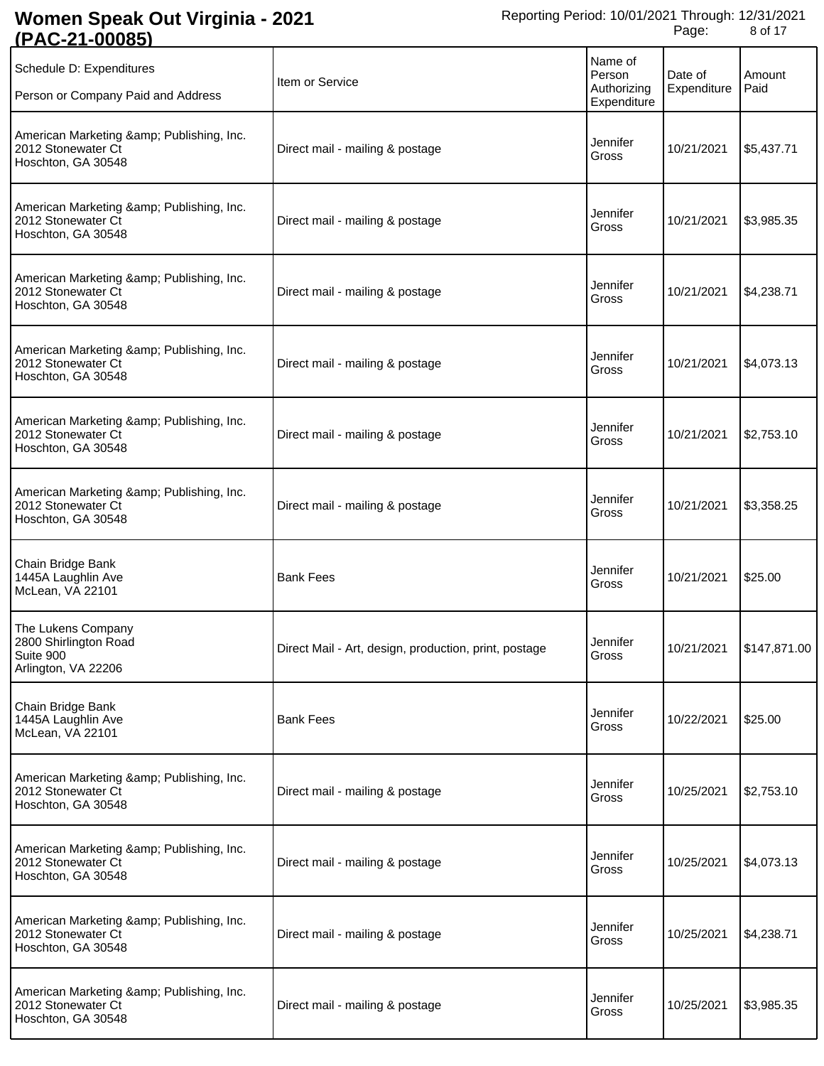| <u>(FAU-ZI-UUUOJ)</u>                                                             |                                                       |                                                 |                        |                |
|-----------------------------------------------------------------------------------|-------------------------------------------------------|-------------------------------------------------|------------------------|----------------|
| Schedule D: Expenditures<br>Person or Company Paid and Address                    | Item or Service                                       | Name of<br>Person<br>Authorizing<br>Expenditure | Date of<br>Expenditure | Amount<br>Paid |
| American Marketing & Publishing, Inc.<br>2012 Stonewater Ct<br>Hoschton, GA 30548 | Direct mail - mailing & postage                       | Jennifer<br>Gross                               | 10/21/2021             | \$5,437.71     |
| American Marketing & Publishing, Inc.<br>2012 Stonewater Ct<br>Hoschton, GA 30548 | Direct mail - mailing & postage                       | Jennifer<br>Gross                               | 10/21/2021             | \$3,985.35     |
| American Marketing & Publishing, Inc.<br>2012 Stonewater Ct<br>Hoschton, GA 30548 | Direct mail - mailing & postage                       | Jennifer<br>Gross                               | 10/21/2021             | \$4,238.71     |
| American Marketing & Publishing, Inc.<br>2012 Stonewater Ct<br>Hoschton, GA 30548 | Direct mail - mailing & postage                       | Jennifer<br>Gross                               | 10/21/2021             | \$4,073.13     |
| American Marketing & Publishing, Inc.<br>2012 Stonewater Ct<br>Hoschton, GA 30548 | Direct mail - mailing & postage                       | Jennifer<br>Gross                               | 10/21/2021             | \$2,753.10     |
| American Marketing & Publishing, Inc.<br>2012 Stonewater Ct<br>Hoschton, GA 30548 | Direct mail - mailing & postage                       | Jennifer<br>Gross                               | 10/21/2021             | \$3,358.25     |
| Chain Bridge Bank<br>1445A Laughlin Ave<br>McLean, VA 22101                       | <b>Bank Fees</b>                                      | Jennifer<br>Gross                               | 10/21/2021             | \$25.00        |
| The Lukens Company<br>2800 Shirlington Road<br>Suite 900<br>Arlington, VA 22206   | Direct Mail - Art, design, production, print, postage | Jennifer<br>Gross                               | 10/21/2021             | \$147,871.00   |
| Chain Bridge Bank<br>1445A Laughlin Ave<br>McLean, VA 22101                       | <b>Bank Fees</b>                                      | Jennifer<br>Gross                               | 10/22/2021             | \$25.00        |
| American Marketing & Publishing, Inc.<br>2012 Stonewater Ct<br>Hoschton, GA 30548 | Direct mail - mailing & postage                       | Jennifer<br>Gross                               | 10/25/2021             | \$2,753.10     |
| American Marketing & Publishing, Inc.<br>2012 Stonewater Ct<br>Hoschton, GA 30548 | Direct mail - mailing & postage                       | Jennifer<br>Gross                               | 10/25/2021             | \$4,073.13     |
| American Marketing & Publishing, Inc.<br>2012 Stonewater Ct<br>Hoschton, GA 30548 | Direct mail - mailing & postage                       | Jennifer<br>Gross                               | 10/25/2021             | \$4,238.71     |
| American Marketing & Publishing, Inc.<br>2012 Stonewater Ct<br>Hoschton, GA 30548 | Direct mail - mailing & postage                       | Jennifer<br>Gross                               | 10/25/2021             | \$3,985.35     |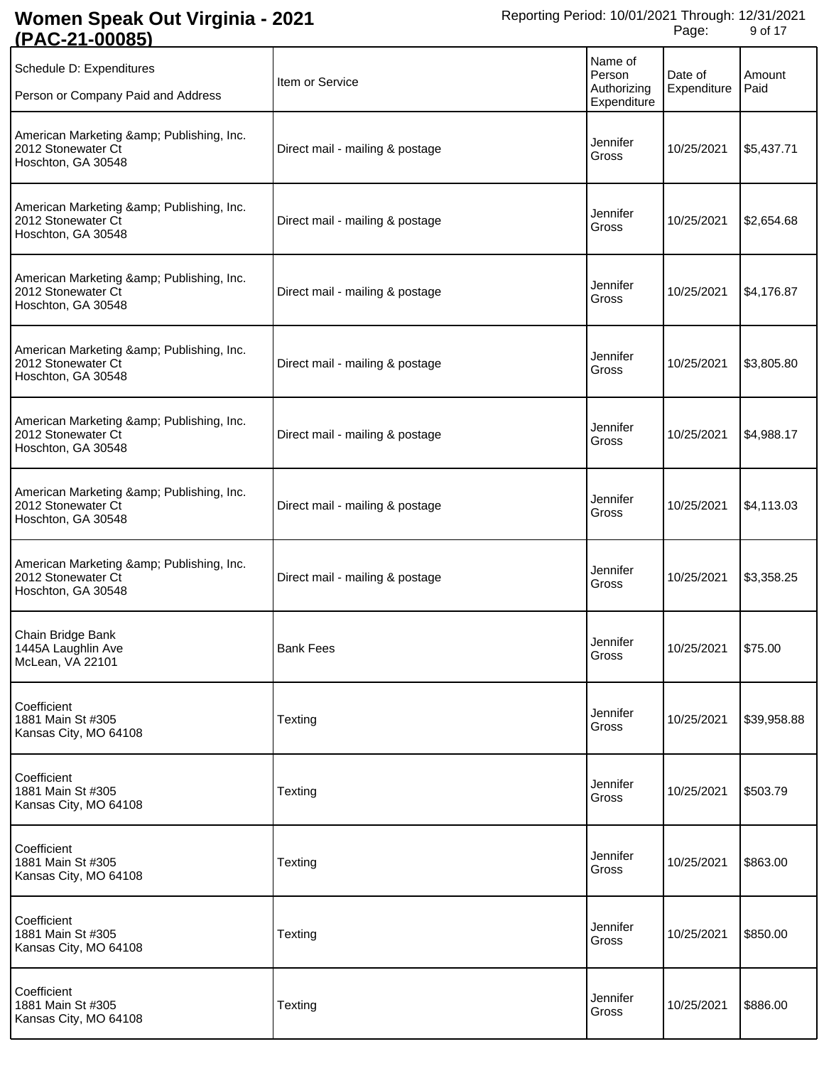| <u>(FAU-Z I-UUUOJ)</u>                                                            |                                 |                                                 |                        |                |
|-----------------------------------------------------------------------------------|---------------------------------|-------------------------------------------------|------------------------|----------------|
| Schedule D: Expenditures<br>Person or Company Paid and Address                    | Item or Service                 | Name of<br>Person<br>Authorizing<br>Expenditure | Date of<br>Expenditure | Amount<br>Paid |
| American Marketing & Publishing, Inc.<br>2012 Stonewater Ct<br>Hoschton, GA 30548 | Direct mail - mailing & postage | Jennifer<br>Gross                               | 10/25/2021             | \$5,437.71     |
| American Marketing & Publishing, Inc.<br>2012 Stonewater Ct<br>Hoschton, GA 30548 | Direct mail - mailing & postage | Jennifer<br>Gross                               | 10/25/2021             | \$2,654.68     |
| American Marketing & Publishing, Inc.<br>2012 Stonewater Ct<br>Hoschton, GA 30548 | Direct mail - mailing & postage | Jennifer<br>Gross                               | 10/25/2021             | \$4,176.87     |
| American Marketing & Publishing, Inc.<br>2012 Stonewater Ct<br>Hoschton, GA 30548 | Direct mail - mailing & postage | Jennifer<br>Gross                               | 10/25/2021             | \$3,805.80     |
| American Marketing & Publishing, Inc.<br>2012 Stonewater Ct<br>Hoschton, GA 30548 | Direct mail - mailing & postage | Jennifer<br>Gross                               | 10/25/2021             | \$4,988.17     |
| American Marketing & Publishing, Inc.<br>2012 Stonewater Ct<br>Hoschton, GA 30548 | Direct mail - mailing & postage | Jennifer<br>Gross                               | 10/25/2021             | \$4,113.03     |
| American Marketing & Publishing, Inc.<br>2012 Stonewater Ct<br>Hoschton, GA 30548 | Direct mail - mailing & postage | Jennifer<br>Gross                               | 10/25/2021             | \$3,358.25     |
| Chain Bridge Bank<br>1445A Laughlin Ave<br>McLean, VA 22101                       | <b>Bank Fees</b>                | Jennifer<br>Gross                               | 10/25/2021             | \$75.00        |
| Coefficient<br>1881 Main St #305<br>Kansas City, MO 64108                         | Texting                         | Jennifer<br>Gross                               | 10/25/2021             | \$39,958.88    |
| Coefficient<br>1881 Main St #305<br>Kansas City, MO 64108                         | Texting                         | Jennifer<br>Gross                               | 10/25/2021             | \$503.79       |
| Coefficient<br>1881 Main St #305<br>Kansas City, MO 64108                         | Texting                         | Jennifer<br>Gross                               | 10/25/2021             | \$863.00       |
| Coefficient<br>1881 Main St #305<br>Kansas City, MO 64108                         | Texting                         | Jennifer<br>Gross                               | 10/25/2021             | \$850.00       |
| Coefficient<br>1881 Main St #305<br>Kansas City, MO 64108                         | Texting                         | Jennifer<br>Gross                               | 10/25/2021             | \$886.00       |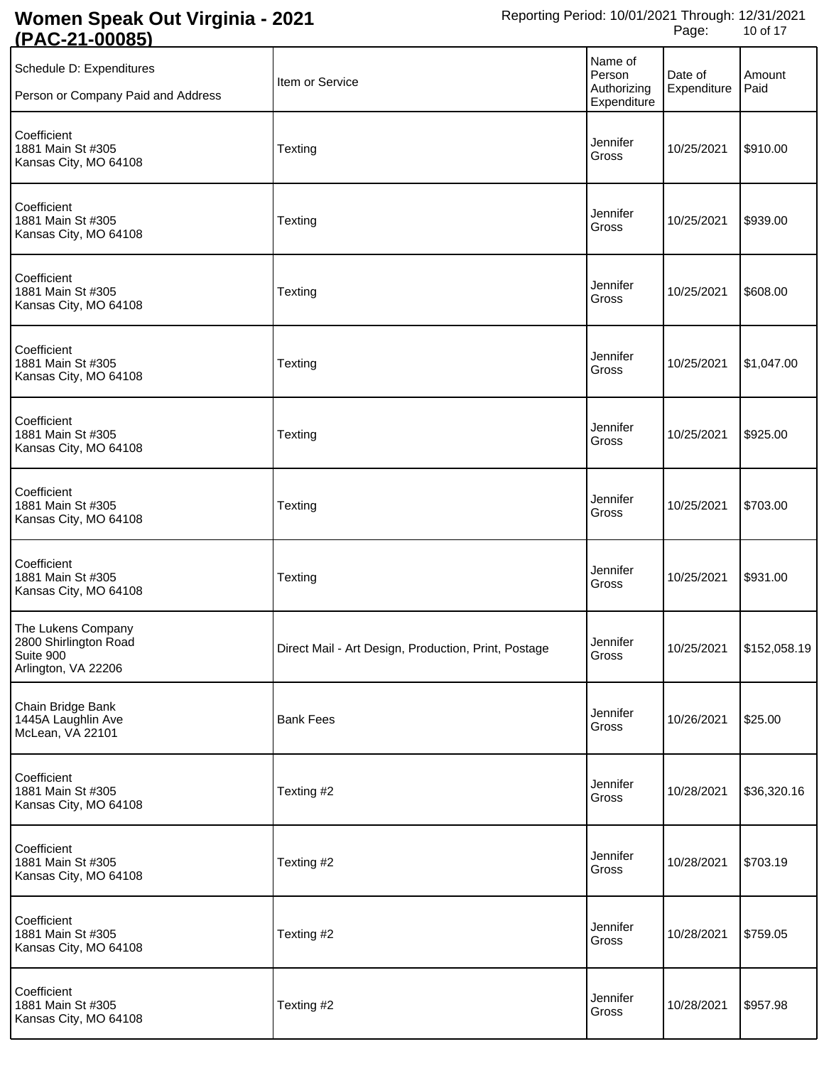| <u>LAV 41</u><br><u>vuuu</u>                                                    |                                                      |                                                 |                        |                         |
|---------------------------------------------------------------------------------|------------------------------------------------------|-------------------------------------------------|------------------------|-------------------------|
| Schedule D: Expenditures<br>Person or Company Paid and Address                  | Item or Service                                      | Name of<br>Person<br>Authorizing<br>Expenditure | Date of<br>Expenditure | Amount<br>Paid          |
| Coefficient<br>1881 Main St #305<br>Kansas City, MO 64108                       | Texting                                              | Jennifer<br>Gross                               | 10/25/2021             | \$910.00                |
| Coefficient<br>1881 Main St #305<br>Kansas City, MO 64108                       | Texting                                              | Jennifer<br>Gross                               | 10/25/2021             | \$939.00                |
| Coefficient<br>1881 Main St #305<br>Kansas City, MO 64108                       | Texting                                              | Jennifer<br>Gross                               | 10/25/2021             | \$608.00                |
| Coefficient<br>1881 Main St #305<br>Kansas City, MO 64108                       | Texting                                              | Jennifer<br>Gross                               | 10/25/2021             | \$1,047.00              |
| Coefficient<br>1881 Main St #305<br>Kansas City, MO 64108                       | Texting                                              | Jennifer<br>Gross                               | 10/25/2021             | \$925.00                |
| Coefficient<br>1881 Main St #305<br>Kansas City, MO 64108                       | Texting                                              | Jennifer<br>Gross                               | 10/25/2021             | \$703.00                |
| Coefficient<br>1881 Main St #305<br>Kansas City, MO 64108                       | Texting                                              | Jennifer<br>Gross                               | 10/25/2021             | \$931.00                |
| The Lukens Company<br>2800 Shirlington Road<br>Suite 900<br>Arlington, VA 22206 | Direct Mail - Art Design, Production, Print, Postage | Jennifer<br>Gross                               |                        | 10/25/2021 \$152,058.19 |
| Chain Bridge Bank<br>1445A Laughlin Ave<br>McLean, VA 22101                     | <b>Bank Fees</b>                                     | Jennifer<br>Gross                               | 10/26/2021             | \$25.00                 |
| Coefficient<br>1881 Main St #305<br>Kansas City, MO 64108                       | Texting #2                                           | Jennifer<br>Gross                               | 10/28/2021             | \$36,320.16             |
| Coefficient<br>1881 Main St #305<br>Kansas City, MO 64108                       | Texting #2                                           | Jennifer<br>Gross                               | 10/28/2021             | \$703.19                |
| Coefficient<br>1881 Main St #305<br>Kansas City, MO 64108                       | Texting #2                                           | Jennifer<br>Gross                               | 10/28/2021             | \$759.05                |
| Coefficient<br>1881 Main St #305<br>Kansas City, MO 64108                       | Texting #2                                           | Jennifer<br>Gross                               | 10/28/2021             | \$957.98                |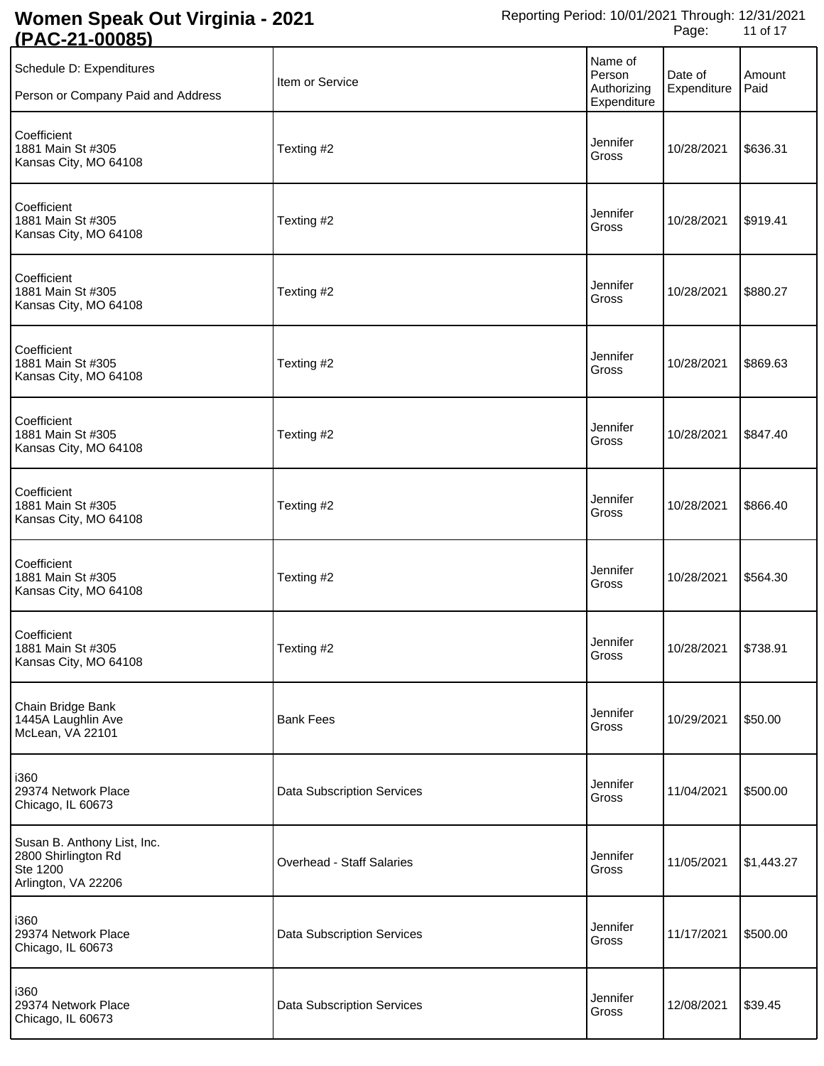| <u> 1796 - 1</u><br><u>vuuv</u>                                                       |                                   |                                                 |                        |                |
|---------------------------------------------------------------------------------------|-----------------------------------|-------------------------------------------------|------------------------|----------------|
| Schedule D: Expenditures<br>Person or Company Paid and Address                        | Item or Service                   | Name of<br>Person<br>Authorizing<br>Expenditure | Date of<br>Expenditure | Amount<br>Paid |
| Coefficient<br>1881 Main St #305<br>Kansas City, MO 64108                             | Texting #2                        | Jennifer<br>Gross                               | 10/28/2021             | \$636.31       |
| Coefficient<br>1881 Main St #305<br>Kansas City, MO 64108                             | Texting #2                        | Jennifer<br>Gross                               | 10/28/2021             | \$919.41       |
| Coefficient<br>1881 Main St #305<br>Kansas City, MO 64108                             | Texting #2                        | Jennifer<br>Gross                               | 10/28/2021             | \$880.27       |
| Coefficient<br>1881 Main St #305<br>Kansas City, MO 64108                             | Texting #2                        | Jennifer<br>Gross                               | 10/28/2021             | \$869.63       |
| Coefficient<br>1881 Main St #305<br>Kansas City, MO 64108                             | Texting #2                        | Jennifer<br>Gross                               | 10/28/2021             | \$847.40       |
| Coefficient<br>1881 Main St #305<br>Kansas City, MO 64108                             | Texting #2                        | Jennifer<br>Gross                               | 10/28/2021             | \$866.40       |
| Coefficient<br>1881 Main St #305<br>Kansas City, MO 64108                             | Texting #2                        | Jennifer<br>Gross                               | 10/28/2021             | \$564.30       |
| Coefficient<br>1881 Main St #305<br>Kansas City, MO 64108                             | Texting #2                        | Jennifer<br>Gross                               |                        |                |
| Chain Bridge Bank<br>1445A Laughlin Ave<br>McLean, VA 22101                           | <b>Bank Fees</b>                  | Jennifer<br>Gross                               | 10/29/2021             | \$50.00        |
| i360<br>29374 Network Place<br>Chicago, IL 60673                                      | <b>Data Subscription Services</b> | Jennifer<br>Gross                               | 11/04/2021             | \$500.00       |
| Susan B. Anthony List, Inc.<br>2800 Shirlington Rd<br>Ste 1200<br>Arlington, VA 22206 | Overhead - Staff Salaries         | Jennifer<br>Gross                               | 11/05/2021             | \$1,443.27     |
| i360<br>29374 Network Place<br>Chicago, IL 60673                                      | <b>Data Subscription Services</b> | Jennifer<br>Gross                               | 11/17/2021             | \$500.00       |
| i360<br>29374 Network Place<br>Chicago, IL 60673                                      | <b>Data Subscription Services</b> | Jennifer<br>Gross                               | 12/08/2021             | \$39.45        |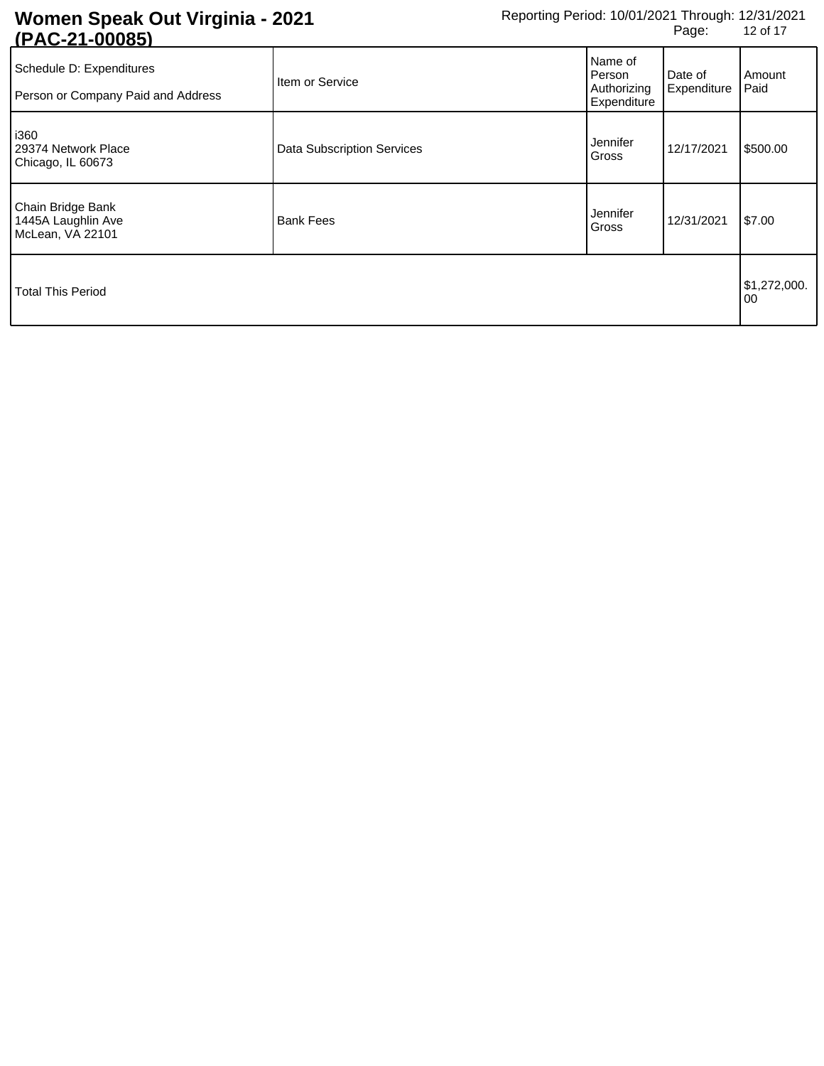| <u>IF AU-4 I-0000JI</u>                                        |                                   |                                                 |                        |                    |
|----------------------------------------------------------------|-----------------------------------|-------------------------------------------------|------------------------|--------------------|
| Schedule D: Expenditures<br>Person or Company Paid and Address | Item or Service                   | Name of<br>Person<br>Authorizing<br>Expenditure | Date of<br>Expenditure | Amount<br>Paid     |
| i360<br>29374 Network Place<br>Chicago, IL 60673               | <b>Data Subscription Services</b> | Jennifer<br>Gross                               | 12/17/2021             | \$500.00           |
| Chain Bridge Bank<br>1445A Laughlin Ave<br>McLean, VA 22101    | <b>Bank Fees</b>                  | Jennifer<br>Gross                               | 12/31/2021             | \$7.00             |
| <b>Total This Period</b>                                       |                                   |                                                 |                        | \$1,272,000.<br>00 |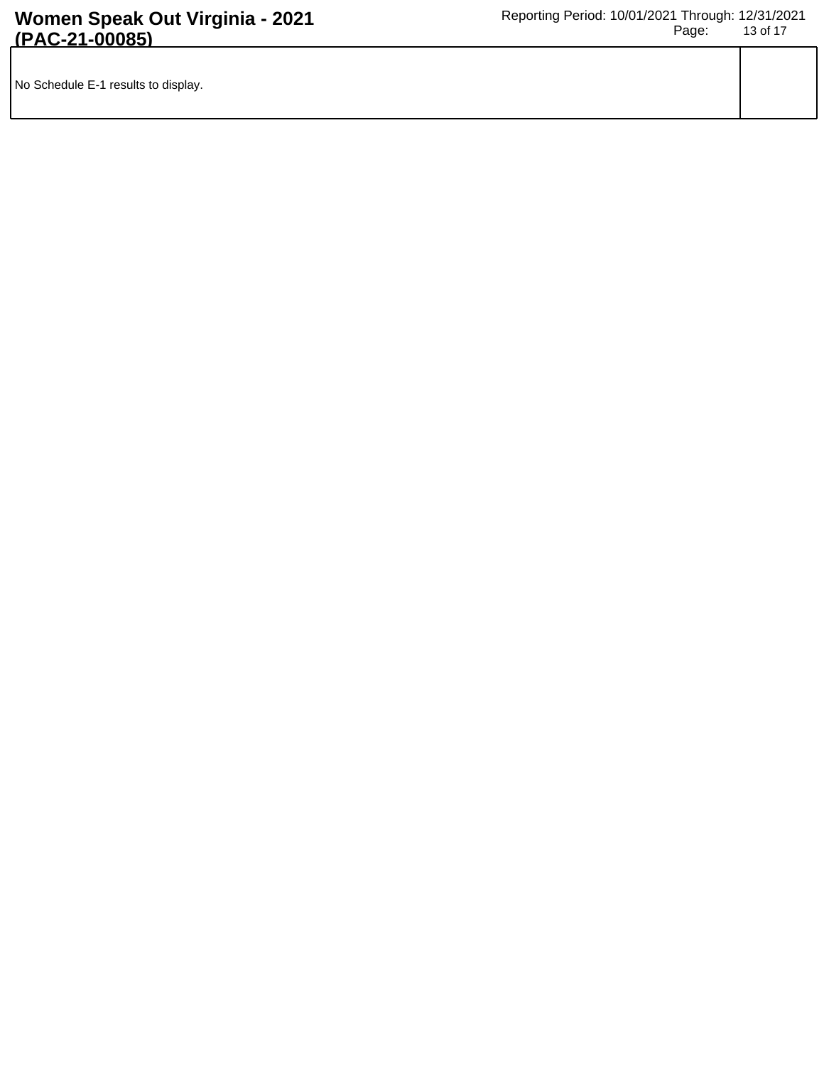|  | No Schedule E-1 results to display. |  |
|--|-------------------------------------|--|
|--|-------------------------------------|--|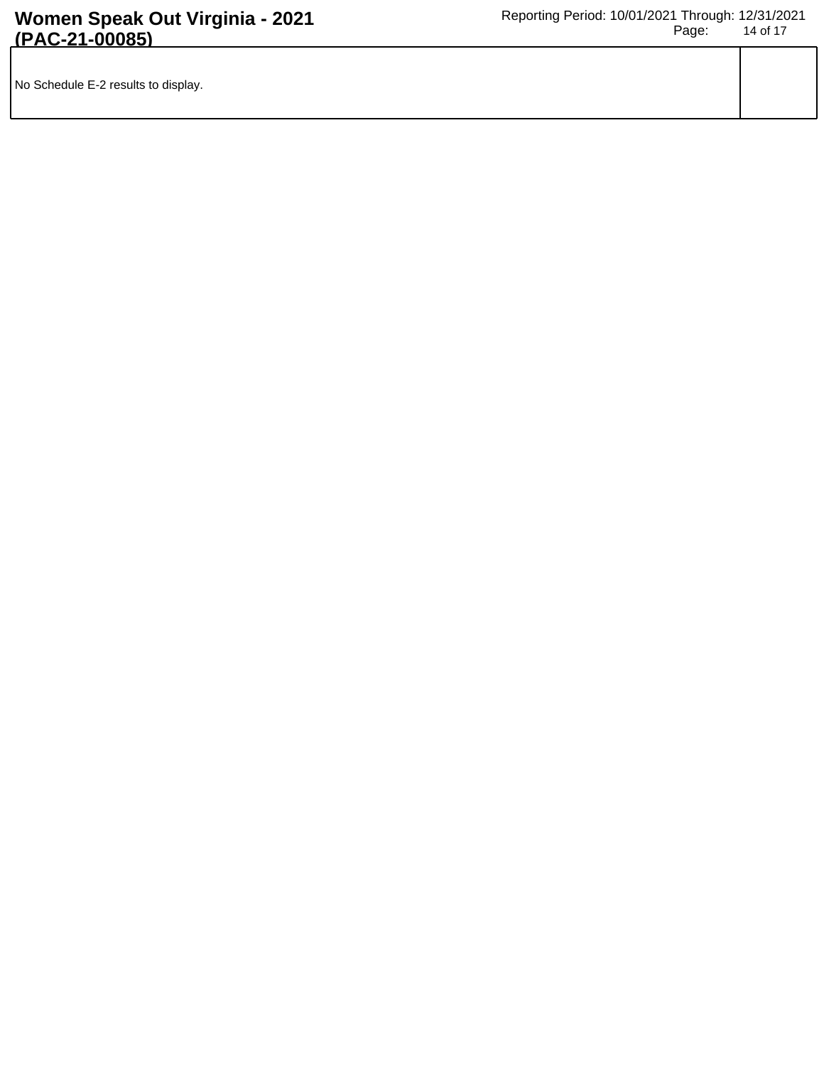| No Schedule E-2 results to display. |  |
|-------------------------------------|--|
|                                     |  |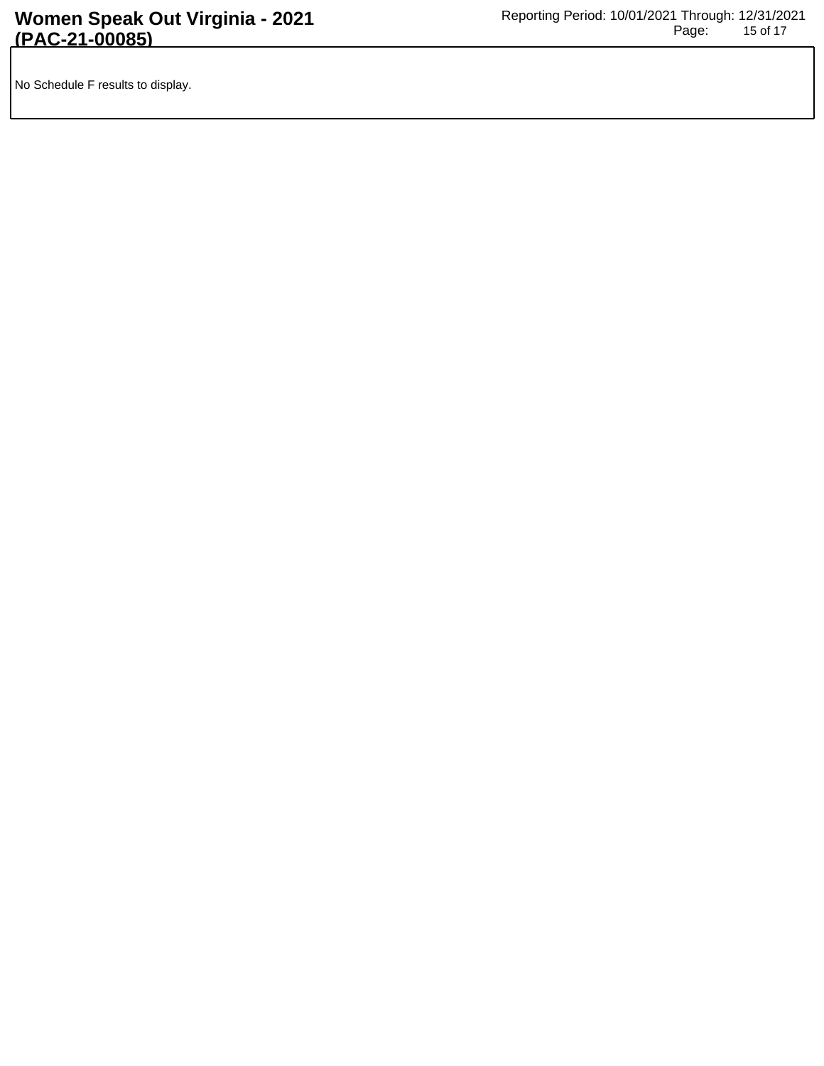No Schedule F results to display.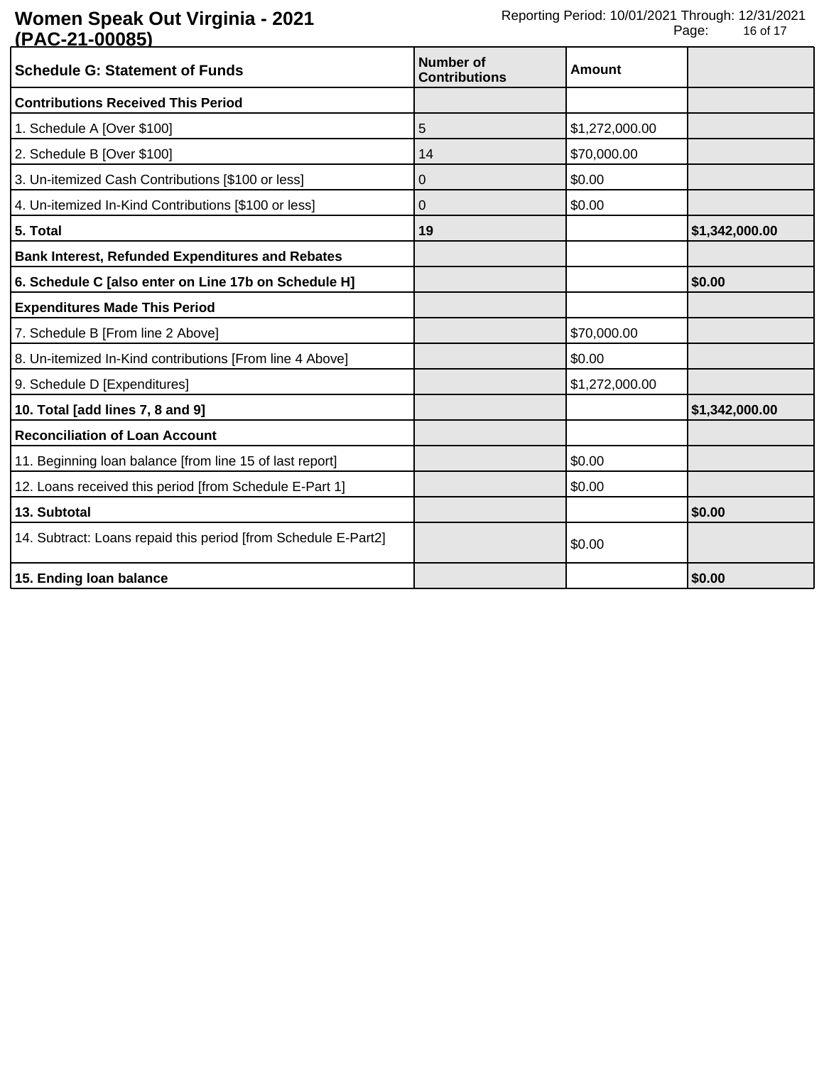| <b>Schedule G: Statement of Funds</b>                          | <b>Number of</b><br><b>Contributions</b> | Amount         |                |
|----------------------------------------------------------------|------------------------------------------|----------------|----------------|
| <b>Contributions Received This Period</b>                      |                                          |                |                |
| 1. Schedule A [Over \$100]                                     | 5                                        | \$1,272,000.00 |                |
| 2. Schedule B [Over \$100]                                     | 14                                       | \$70,000.00    |                |
| 3. Un-itemized Cash Contributions [\$100 or less]              | 0                                        | \$0.00         |                |
| 4. Un-itemized In-Kind Contributions [\$100 or less]           | 0                                        | \$0.00         |                |
| 5. Total                                                       | 19                                       |                | \$1,342,000.00 |
| <b>Bank Interest, Refunded Expenditures and Rebates</b>        |                                          |                |                |
| 6. Schedule C [also enter on Line 17b on Schedule H]           |                                          |                | \$0.00         |
| <b>Expenditures Made This Period</b>                           |                                          |                |                |
| 7. Schedule B [From line 2 Above]                              |                                          | \$70,000.00    |                |
| 8. Un-itemized In-Kind contributions [From line 4 Above]       |                                          | \$0.00         |                |
| 9. Schedule D [Expenditures]                                   |                                          | \$1,272,000.00 |                |
| 10. Total [add lines 7, 8 and 9]                               |                                          |                | \$1,342,000.00 |
| <b>Reconciliation of Loan Account</b>                          |                                          |                |                |
| 11. Beginning loan balance [from line 15 of last report]       |                                          | \$0.00         |                |
| 12. Loans received this period [from Schedule E-Part 1]        |                                          | \$0.00         |                |
| 13. Subtotal                                                   |                                          |                | \$0.00         |
| 14. Subtract: Loans repaid this period [from Schedule E-Part2] |                                          | \$0.00         |                |
| 15. Ending loan balance                                        |                                          |                | \$0.00         |